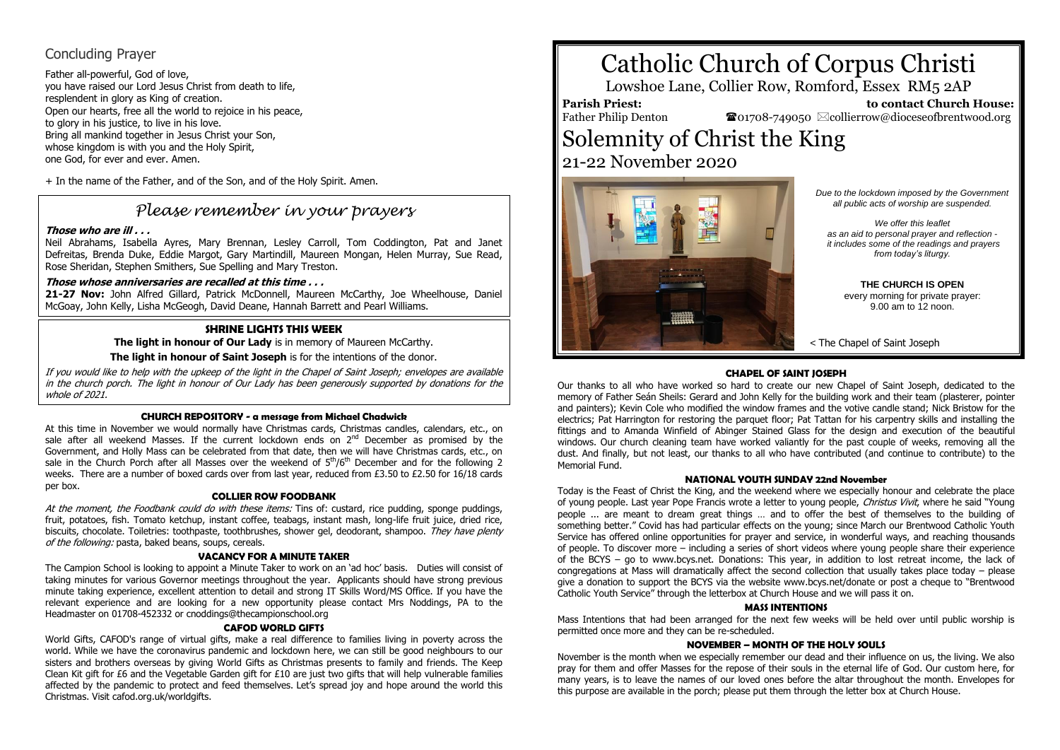## Concluding Prayer

Father all-powerful, God of love, you have raised our Lord Jesus Christ from death to life, resplendent in glory as King of creation. Open our hearts, free all the world to rejoice in his peace, to glory in his justice, to live in his love. Bring all mankind together in Jesus Christ your Son, whose kingdom is with you and the Holy Spirit. one God, for ever and ever. Amen.

+ In the name of the Father, and of the Son, and of the Holy Spirit. Amen.

## *Please remember in your prayers*

### **Those who are ill . . .**

Neil Abrahams, Isabella Ayres, Mary Brennan, Lesley Carroll, Tom Coddington, Pat and Janet Defreitas, Brenda Duke, Eddie Margot, Gary Martindill, Maureen Mongan, Helen Murray, Sue Read, Rose Sheridan, Stephen Smithers, Sue Spelling and Mary Treston.

### **Those whose anniversaries are recalled at this time . . .**

**21-27 Nov:** John Alfred Gillard, Patrick McDonnell, Maureen McCarthy, Joe Wheelhouse, Daniel McGoay, John Kelly, Lisha McGeogh, David Deane, Hannah Barrett and Pearl Williams.

### **SHRINE LIGHTS THIS WEEK**

**The light in honour of Our Lady** is in memory of Maureen McCarthy.

**The light in honour of Saint Joseph** is for the intentions of the donor.

If you would like to help with the upkeep of the light in the Chapel of Saint Joseph; envelopes are available in the church porch. The light in honour of Our Lady has been generously supported by donations for the whole of 2021

### **CHURCH REPOSITORY - a message from Michael Chadwick**

At this time in November we would normally have Christmas cards, Christmas candles, calendars, etc., on sale after all weekend Masses. If the current lockdown ends on  $2<sup>nd</sup>$  December as promised by the Government, and Holly Mass can be celebrated from that date, then we will have Christmas cards, etc., on sale in the Church Porch after all Masses over the weekend of  $5<sup>th</sup>/6<sup>th</sup>$  December and for the following 2 weeks. There are a number of boxed cards over from last year, reduced from £3.50 to £2.50 for 16/18 cards per box.

### **COLLIER ROW FOODBANK**

At the moment, the Foodbank could do with these items: Tins of: custard, rice pudding, sponge puddings, fruit, potatoes, fish. Tomato ketchup, instant coffee, teabags, instant mash, long-life fruit juice, dried rice, biscuits, chocolate. Toiletries: toothpaste, toothbrushes, shower gel, deodorant, shampoo. They have plenty of the following: pasta, baked beans, soups, cereals.

### **VACANCY FOR A MINUTE TAKER**

The Campion School is looking to appoint a Minute Taker to work on an 'ad hoc' basis. Duties will consist of taking minutes for various Governor meetings throughout the year. Applicants should have strong previous minute taking experience, excellent attention to detail and strong IT Skills Word/MS Office. If you have the relevant experience and are looking for a new opportunity please contact Mrs Noddings, PA to the Headmaster on 01708-452332 or cnoddings@thecampionschool.org

### **CAFOD WORLD GIFTS**

World Gifts, CAFOD's range of virtual gifts, make a real difference to families living in poverty across the world. While we have the coronavirus pandemic and lockdown here, we can still be good neighbours to our sisters and brothers overseas by giving World Gifts as Christmas presents to family and friends. The Keep Clean Kit gift for  $f_6$  and the Vegetable Garden gift for  $f_{10}$  are just two gifts that will help vulnerable families affected by the pandemic to protect and feed themselves. Let's spread joy and hope around the world this Christmas. Visit cafod.org.uk/worldgifts.

# Catholic Church of Corpus Christi

Lowshoe Lane, Collier Row, Romford, Essex RM5 2AP

## **Parish Priest:**

Father Philip Denton

 **to contact Church House:**  $\mathbf{\Omega}_{01708\text{-}749050}$   $\boxtimes$  collierrow@dioceseofbrentwood.org

# Solemnity of Christ the King 21-22 November 2020



*Due to the lockdown imposed by the Government all public acts of worship are suspended.*

*We offer this leaflet as an aid to personal prayer and reflection it includes some of the readings and prayers from today's liturgy.*

> **THE CHURCH IS OPEN** every morning for private prayer: 9.00 am to 12 noon.

< The Chapel of Saint Joseph

### **CHAPEL OF SAINT JOSEPH**

Our thanks to all who have worked so hard to create our new Chapel of Saint Joseph, dedicated to the memory of Father Seán Sheils: Gerard and John Kelly for the building work and their team (plasterer, pointer and painters); Kevin Cole who modified the window frames and the votive candle stand; Nick Bristow for the electrics; Pat Harrington for restoring the parquet floor; Pat Tattan for his carpentry skills and installing the fittings and to Amanda Winfield of Abinger Stained Glass for the design and execution of the beautiful windows. Our church cleaning team have worked valiantly for the past couple of weeks, removing all the dust. And finally, but not least, our thanks to all who have contributed (and continue to contribute) to the Memorial Fund.

### **NATIONAL YOUTH SUNDAY 22nd November**

Today is the Feast of Christ the King, and the weekend where we especially honour and celebrate the place of young people. Last year Pope Francis wrote a letter to young people, Christus Vivit, where he said "Young people ... are meant to dream great things … and to offer the best of themselves to the building of something better." Covid has had particular effects on the young; since March our Brentwood Catholic Youth Service has offered online opportunities for prayer and service, in wonderful ways, and reaching thousands of people. To discover more – including a series of short videos where young people share their experience of the BCYS – go to www.bcys.net. Donations: This year, in addition to lost retreat income, the lack of congregations at Mass will dramatically affect the second collection that usually takes place today – please give a donation to support the BCYS via the website www.bcys.net/donate or post a cheque to "Brentwood Catholic Youth Service" through the letterbox at Church House and we will pass it on.

#### **MASS INTENTIONS**

Mass Intentions that had been arranged for the next few weeks will be held over until public worship is permitted once more and they can be re-scheduled.

### **NOVEMBER – MONTH OF THE HOLY SOULS**

November is the month when we especially remember our dead and their influence on us, the living. We also pray for them and offer Masses for the repose of their souls in the eternal life of God. Our custom here, for many years, is to leave the names of our loved ones before the altar throughout the month. Envelopes for this purpose are available in the porch; please put them through the letter box at Church House.